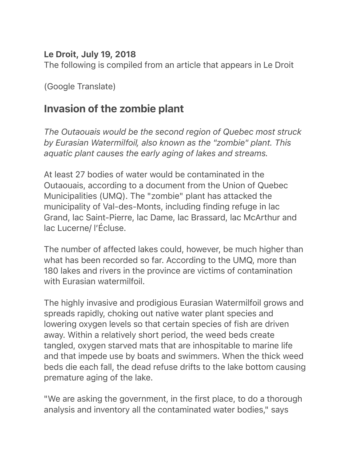## Le Droit, July 19, 2018

The following is compiled from an article that appears in Le Droit

(Google Translate)

## Invasion of the zombie plant

*The Outaouais would be the second region of Quebec most struck by Eurasian Watermilfoil, also known as the "zombie" plant. This aquatic plant causes the early aging of lakes and streams.* 

At least 27 bodies of water would be contaminated in the Outaouais, according to a document from the Union of Quebec Municipalities (UMQ). The "zombie" plant has attacked the municipality of Val-des-Monts, including finding refuge in lac Grand, lac Saint-Pierre, lac Dame, lac Brassard, lac McArthur and lac Lucerne/ l'Écluse.

The number of affected lakes could, however, be much higher than what has been recorded so far. According to the UMQ, more than 180 lakes and rivers in the province are victims of contamination with Eurasian watermilfoil.

The highly invasive and prodigious Eurasian Watermilfoil grows and spreads rapidly, choking out native water plant species and lowering oxygen levels so that certain species of fish are driven away. Within a relatively short period, the weed beds create tangled, oxygen starved mats that are inhospitable to marine life and that impede use by boats and swimmers. When the thick weed beds die each fall, the dead refuse drifts to the lake bottom causing premature aging of the lake.

"We are asking the government, in the first place, to do a thorough analysis and inventory all the contaminated water bodies," says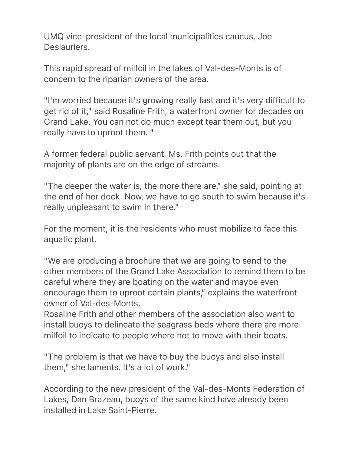UMQ vice-president of the local municipalities caucus, Joe Deslauriers.

This rapid spread of milfoil in the lakes of Val-des-Monts is of concern to the riparian owners of the area.

"I'm worried because it's growing really fast and it's very difficult to get rid of it," said Rosaline Frith, a waterfront owner for decades on Grand Lake. You can not do much except tear them out, but you really have to uproot them. "

A former federal public servant, Ms. Frith points out that the majority of plants are on the edge of streams.

"The deeper the water is, the more there are," she said, pointing at the end of her dock. Now, we have to go south to swim because it's really unpleasant to swim in there."

For the moment, it is the residents who must mobilize to face this aquatic plant.

"We are producing a brochure that we are going to send to the other members of the Grand Lake Association to remind them to be careful where they are boating on the water and maybe even encourage them to uproot certain plants," explains the waterfront owner of Val-des-Monts.

Rosaline Frith and other members of the association also want to install buoys to delineate the seagrass beds where there are more milfoil to indicate to people where not to move with their boats.

"The problem is that we have to buy the buoys and also install them," she laments. It's a lot of work."

According to the new president of the Val-des-Monts Federation of Lakes, Dan Brazeau, buoys of the same kind have already been installed in Lake Saint-Pierre.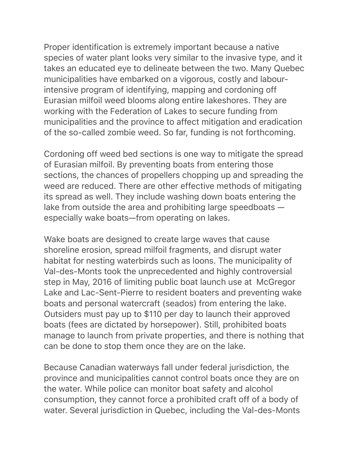Proper identification is extremely important because a native species of water plant looks very similar to the invasive type, and it takes an educated eye to delineate between the two. Many Quebec municipalities have embarked on a vigorous, costly and labourintensive program of identifying, mapping and cordoning off Eurasian milfoil weed blooms along entire lakeshores. They are working with the Federation of Lakes to secure funding from municipalities and the province to affect mitigation and eradication of the so-called zombie weed. So far, funding is not forthcoming.

Cordoning off weed bed sections is one way to mitigate the spread of Eurasian milfoil. By preventing boats from entering those sections, the chances of propellers chopping up and spreading the weed are reduced. There are other effective methods of mitigating its spread as well. They include washing down boats entering the lake from outside the area and prohibiting large speedboats especially wake boats—from operating on lakes.

Wake boats are designed to create large waves that cause shoreline erosion, spread milfoil fragments, and disrupt water habitat for nesting waterbirds such as loons. The municipality of Val-des-Monts took the unprecedented and highly controversial step in May, 2016 of limiting public boat launch use at McGregor Lake and Lac-Sent-Pierre to resident boaters and preventing wake boats and personal watercraft (seados) from entering the lake. Outsiders must pay up to \$110 per day to launch their approved boats (fees are dictated by horsepower). Still, prohibited boats manage to launch from private properties, and there is nothing that can be done to stop them once they are on the lake.

Because Canadian waterways fall under federal jurisdiction, the province and municipalities cannot control boats once they are on the water. While police can monitor boat safety and alcohol consumption, they cannot force a prohibited craft off of a body of water. Several jurisdiction in Quebec, including the Val-des-Monts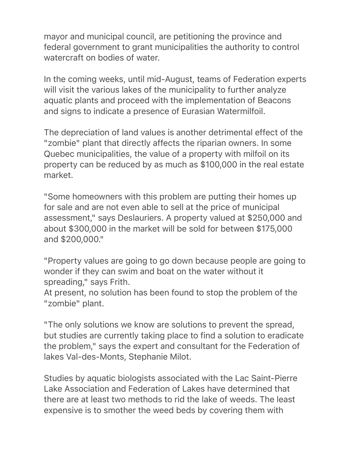mayor and municipal council, are petitioning the province and federal government to grant municipalities the authority to control watercraft on bodies of water

In the coming weeks, until mid-August, teams of Federation experts will visit the various lakes of the municipality to further analyze aquatic plants and proceed with the implementation of Beacons and signs to indicate a presence of Eurasian Watermilfoil.

The depreciation of land values is another detrimental effect of the "zombie" plant that directly affects the riparian owners. In some Quebec municipalities, the value of a property with milfoil on its property can be reduced by as much as \$100,000 in the real estate market.

"Some homeowners with this problem are putting their homes up for sale and are not even able to sell at the price of municipal assessment," says Deslauriers. A property valued at \$250,000 and about \$300,000 in the market will be sold for between \$175,000 and \$200,000."

"Property values are going to go down because people are going to wonder if they can swim and boat on the water without it spreading," says Frith.

At present, no solution has been found to stop the problem of the "zombie" plant.

"The only solutions we know are solutions to prevent the spread, but studies are currently taking place to find a solution to eradicate the problem," says the expert and consultant for the Federation of lakes Val-des-Monts, Stephanie Milot.

Studies by aquatic biologists associated with the Lac Saint-Pierre Lake Association and Federation of Lakes have determined that there are at least two methods to rid the lake of weeds. The least expensive is to smother the weed beds by covering them with